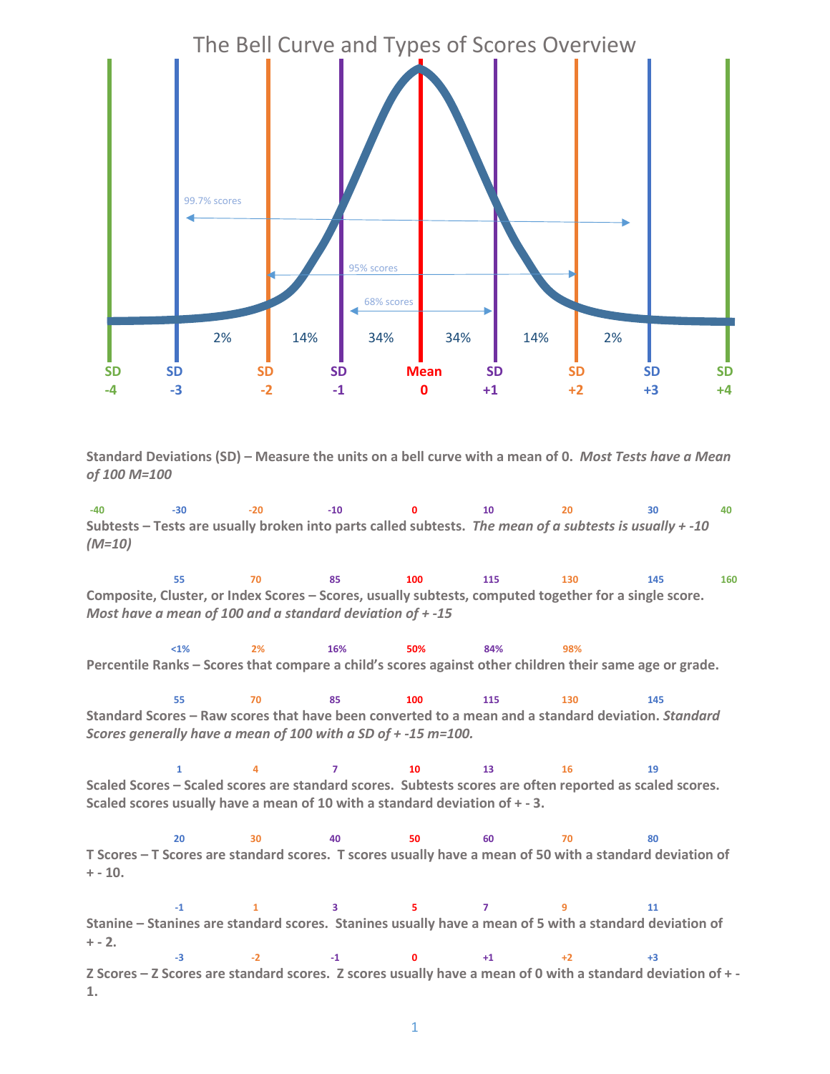

**Standard Deviations (SD) – Measure the units on a bell curve with a mean of 0.** *Most Tests have a Mean of 100 M=100*

**-40 -30 -20 -10 0 10 20 30 40 Subtests – Tests are usually broken into parts called subtests.** *The mean of a subtests is usually + -10 (M=10)*

**55 70 85 100 115 130 145 160 Composite, Cluster, or Index Scores – Scores, usually subtests, computed together for a single score.**  *Most have a mean of 100 and a standard deviation of + -15*

**<1% 2% 16% 50% 84% 98% Percentile Ranks – Scores that compare a child's scores against other children their same age or grade.** 

**55 70 85 100 115 130 145 Standard Scores – Raw scores that have been converted to a mean and a standard deviation.** *Standard Scores generally have a mean of 100 with a SD of + -15 m=100.*

**1 4 7 10 13 16 19 Scaled Scores – Scaled scores are standard scores. Subtests scores are often reported as scaled scores. Scaled scores usually have a mean of 10 with a standard deviation of + - 3.**

**20 30 40 50 60 70 80 T Scores – T Scores are standard scores. T scores usually have a mean of 50 with a standard deviation of + - 10.** 

**-1 1 3 5 7 9 11 Stanine – Stanines are standard scores. Stanines usually have a mean of 5 with a standard deviation of + - 2. -3 -2 -1 <sup>0</sup> +1 +2 +3 Z Scores – Z Scores are standard scores. Z scores usually have a mean of 0 with a standard deviation of + -**

**1.**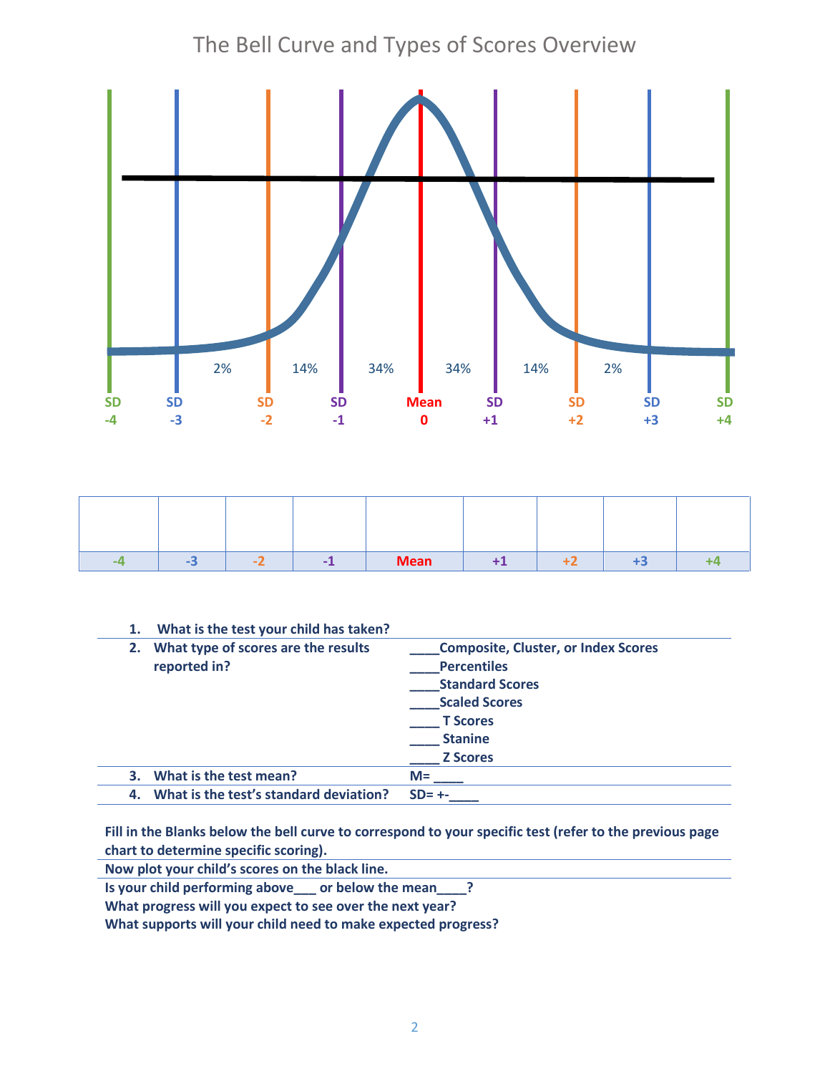## The Bell Curve and Types of Scores Overview



|  | - | <b>Mean</b> |  | тэ |  |
|--|---|-------------|--|----|--|

| 1. | What is the test your child has taken?              |                                                                                                                                                                            |
|----|-----------------------------------------------------|----------------------------------------------------------------------------------------------------------------------------------------------------------------------------|
| 2. | What type of scores are the results<br>reported in? | <b>Composite, Cluster, or Index Scores</b><br><b>Percentiles</b><br><b>Standard Scores</b><br><b>Scaled Scores</b><br><b>T</b> Scores<br><b>Stanine</b><br><b>Z</b> Scores |
|    | What is the test mean?                              | $M =$                                                                                                                                                                      |
| 4. | What is the test's standard deviation?              | $SD = +-$                                                                                                                                                                  |

**Fill in the Blanks below the bell curve to correspond to your specific test (refer to the previous page chart to determine specific scoring).**

**Now plot your child's scores on the black line.**

**Is your child performing above\_\_\_ or below the mean\_\_\_\_?**

**What progress will you expect to see over the next year?**

**What supports will your child need to make expected progress?**